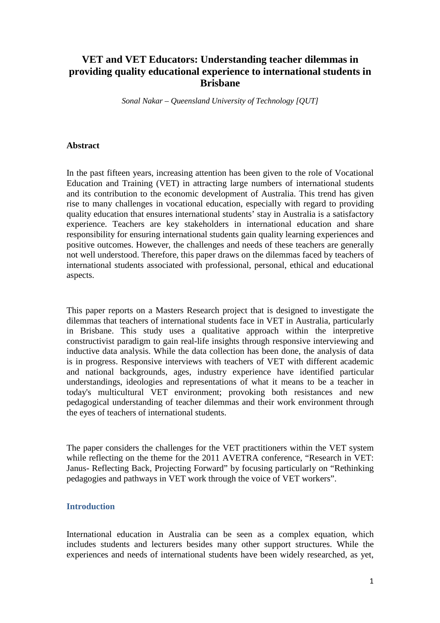# **VET and VET Educators: Understanding teacher dilemmas in providing quality educational experience to international students in Brisbane**

*Sonal Nakar – Queensland University of Technology [QUT]*

### **Abstract**

In the past fifteen years, increasing attention has been given to the role of Vocational Education and Training (VET) in attracting large numbers of international students and its contribution to the economic development of Australia. This trend has given rise to many challenges in vocational education, especially with regard to providing quality education that ensures international students' stay in Australia is a satisfactory experience. Teachers are key stakeholders in international education and share responsibility for ensuring international students gain quality learning experiences and positive outcomes. However, the challenges and needs of these teachers are generally not well understood. Therefore, this paper draws on the dilemmas faced by teachers of international students associated with professional, personal, ethical and educational aspects.

This paper reports on a Masters Research project that is designed to investigate the dilemmas that teachers of international students face in VET in Australia, particularly in Brisbane. This study uses a qualitative approach within the interpretive constructivist paradigm to gain real-life insights through responsive interviewing and inductive data analysis. While the data collection has been done, the analysis of data is in progress. Responsive interviews with teachers of VET with different academic and national backgrounds, ages, industry experience have identified particular understandings, ideologies and representations of what it means to be a teacher in today's multicultural VET environment; provoking both resistances and new pedagogical understanding of teacher dilemmas and their work environment through the eyes of teachers of international students.

The paper considers the challenges for the VET practitioners within the VET system while reflecting on the theme for the 2011 AVETRA conference, "Research in VET: Janus- Reflecting Back, Projecting Forward" by focusing particularly on "Rethinking pedagogies and pathways in VET work through the voice of VET workers".

# **Introduction**

International education in Australia can be seen as a complex equation, which includes students and lecturers besides many other support structures. While the experiences and needs of international students have been widely researched, as yet,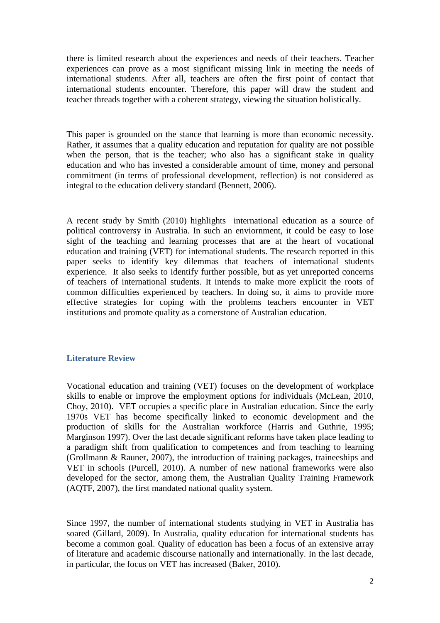there is limited research about the experiences and needs of their teachers. Teacher experiences can prove as a most significant missing link in meeting the needs of international students. After all, teachers are often the first point of contact that international students encounter. Therefore, this paper will draw the student and teacher threads together with a coherent strategy, viewing the situation holistically.

This paper is grounded on the stance that learning is more than economic necessity. Rather, it assumes that a quality education and reputation for quality are not possible when the person, that is the teacher; who also has a significant stake in quality education and who has invested a considerable amount of time, money and personal commitment (in terms of professional development, reflection) is not considered as integral to the education delivery standard (Bennett, 2006).

A recent study by Smith (2010) highlights international education as a source of political controversy in Australia. In such an enviornment, it could be easy to lose sight of the teaching and learning processes that are at the heart of vocational education and training (VET) for international students. The research reported in this paper seeks to identify key dilemmas that teachers of international students experience. It also seeks to identify further possible, but as yet unreported concerns of teachers of international students. It intends to make more explicit the roots of common difficulties experienced by teachers. In doing so, it aims to provide more effective strategies for coping with the problems teachers encounter in VET institutions and promote quality as a cornerstone of Australian education.

# **Literature Review**

Vocational education and training (VET) focuses on the development of workplace skills to enable or improve the employment options for individuals (McLean, 2010, Choy, 2010). VET occupies a specific place in Australian education. Since the early 1970s VET has become specifically linked to economic development and the production of skills for the Australian workforce (Harris and Guthrie, 1995; Marginson 1997). Over the last decade significant reforms have taken place leading to a paradigm shift from qualification to competences and from teaching to learning (Grollmann & Rauner, 2007), the introduction of training packages, traineeships and VET in schools (Purcell, 2010). A number of new national frameworks were also developed for the sector, among them, the Australian Quality Training Framework (AQTF, 2007), the first mandated national quality system.

Since 1997, the number of international students studying in VET in Australia has soared (Gillard, 2009). In Australia, quality education for international students has become a common goal. Quality of education has been a focus of an extensive array of literature and academic discourse nationally and internationally. In the last decade, in particular, the focus on VET has increased (Baker, 2010).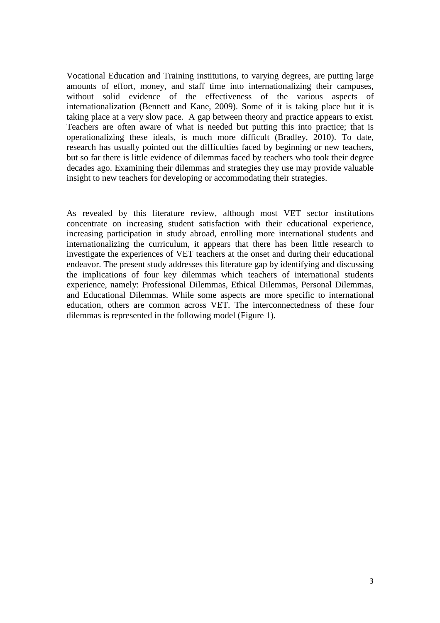Vocational Education and Training institutions, to varying degrees, are putting large amounts of effort, money, and staff time into internationalizing their campuses, without solid evidence of the effectiveness of the various aspects of internationalization (Bennett and Kane, 2009). Some of it is taking place but it is taking place at a very slow pace. A gap between theory and practice appears to exist. Teachers are often aware of what is needed but putting this into practice; that is operationalizing these ideals, is much more difficult (Bradley, 2010). To date, research has usually pointed out the difficulties faced by beginning or new teachers, but so far there is little evidence of dilemmas faced by teachers who took their degree decades ago. Examining their dilemmas and strategies they use may provide valuable insight to new teachers for developing or accommodating their strategies.

As revealed by this literature review, although most VET sector institutions concentrate on increasing student satisfaction with their educational experience, increasing participation in study abroad, enrolling more international students and internationalizing the curriculum, it appears that there has been little research to investigate the experiences of VET teachers at the onset and during their educational endeavor. The present study addresses this literature gap by identifying and discussing the implications of four key dilemmas which teachers of international students experience, namely: Professional Dilemmas, Ethical Dilemmas, Personal Dilemmas, and Educational Dilemmas. While some aspects are more specific to international education, others are common across VET. The interconnectedness of these four dilemmas is represented in the following model (Figure 1).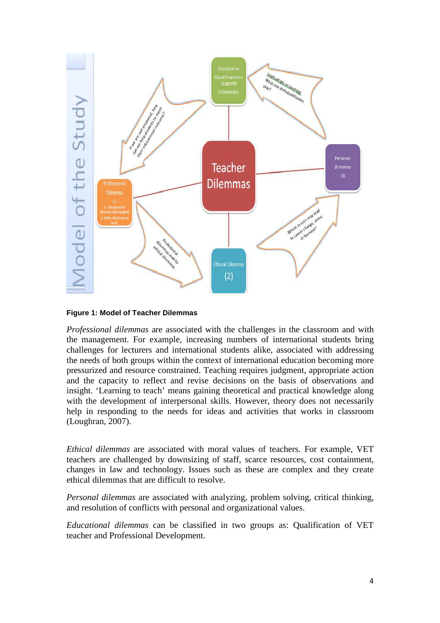

### **Figure 1: Model of Teacher Dilemmas**

*Professional dilemmas* are associated with the challenges in the classroom and with the management. For example, increasing numbers of international students bring challenges for lecturers and international students alike, associated with addressing the needs of both groups within the context of international education becoming more pressurized and resource constrained. Teaching requires judgment, appropriate action and the capacity to reflect and revise decisions on the basis of observations and insight. 'Learning to teach' means gaining theoretical and practical knowledge along with the development of interpersonal skills. However, theory does not necessarily help in responding to the needs for ideas and activities that works in classroom (Loughran, 2007).

*Ethical dilemmas* are associated with moral values of teachers. For example, VET teachers are challenged by downsizing of staff, scarce resources, cost containment, changes in law and technology. Issues such as these are complex and they create ethical dilemmas that are difficult to resolve.

*Personal dilemmas* are associated with analyzing, problem solving, critical thinking, and resolution of conflicts with personal and organizational values.

*Educational dilemmas* can be classified in two groups as: Qualification of VET teacher and Professional Development.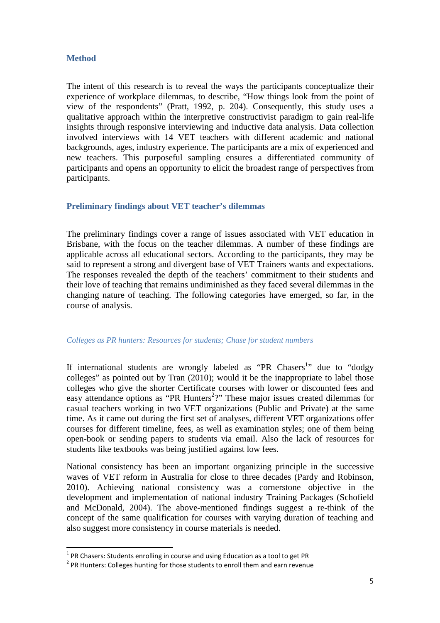# **Method**

 $\overline{a}$ 

The intent of this research is to reveal the ways the participants conceptualize their experience of workplace dilemmas, to describe, "How things look from the point of view of the respondents" (Pratt, 1992, p. 204). Consequently, this study uses a qualitative approach within the interpretive constructivist paradigm to gain real-life insights through responsive interviewing and inductive data analysis. Data collection involved interviews with 14 VET teachers with different academic and national backgrounds, ages, industry experience. The participants are a mix of experienced and new teachers. This purposeful sampling ensures a differentiated community of participants and opens an opportunity to elicit the broadest range of perspectives from participants.

# **Preliminary findings about VET teacher's dilemmas**

The preliminary findings cover a range of issues associated with VET education in Brisbane, with the focus on the teacher dilemmas. A number of these findings are applicable across all educational sectors. According to the participants, they may be said to represent a strong and divergent base of VET Trainers wants and expectations. The responses revealed the depth of the teachers' commitment to their students and their love of teaching that remains undiminished as they faced several dilemmas in the changing nature of teaching. The following categories have emerged, so far, in the course of analysis.

### *Colleges as PR hunters: Resources for students; Chase for student numbers*

If international students are wrongly labeled as "PR Chasers<sup>1</sup>" due to "dodgy colleges" as pointed out by Tran (2010); would it be the inappropriate to label those colleges who give the shorter Certificate courses with lower or discounted fees and easy attendance options as "PR Hunters<sup>2</sup>?" These major issues created dilemmas for casual teachers working in two VET organizations (Public and Private) at the same time. As it came out during the first set of analyses, different VET organizations offer courses for different timeline, fees, as well as examination styles; one of them being open-book or sending papers to students via email. Also the lack of resources for students like textbooks was being justified against low fees.

National consistency has been an important organizing principle in the successive waves of VET reform in Australia for close to three decades (Pardy and Robinson, 2010). Achieving national consistency was a cornerstone objective in the development and implementation of national industry Training Packages (Schofield and McDonald, 2004). The above-mentioned findings suggest a re-think of the concept of the same qualification for courses with varying duration of teaching and also suggest more consistency in course materials is needed.

 $<sup>1</sup>$  PR Chasers: Students enrolling in course and using Education as a tool to get PR</sup>

 $2$  PR Hunters: Colleges hunting for those students to enroll them and earn revenue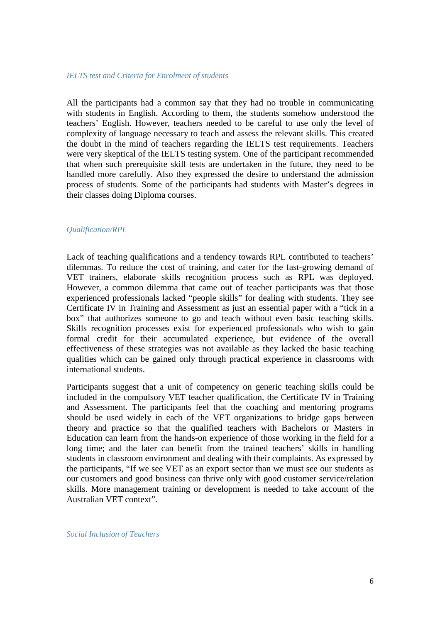#### *IELTS test and Criteria for Enrolment of students*

All the participants had a common say that they had no trouble in communicating with students in English. According to them, the students somehow understood the teachers' English. However, teachers needed to be careful to use only the level of complexity of language necessary to teach and assess the relevant skills. This created the doubt in the mind of teachers regarding the IELTS test requirements. Teachers were very skeptical of the IELTS testing system. One of the participant recommended that when such prerequisite skill tests are undertaken in the future, they need to be handled more carefully. Also they expressed the desire to understand the admission process of students. Some of the participants had students with Master's degrees in their classes doing Diploma courses.

# *Qualification/RPL*

Lack of teaching qualifications and a tendency towards RPL contributed to teachers' dilemmas. To reduce the cost of training, and cater for the fast-growing demand of VET trainers, elaborate skills recognition process such as RPL was deployed. However, a common dilemma that came out of teacher participants was that those experienced professionals lacked "people skills" for dealing with students. They see Certificate IV in Training and Assessment as just an essential paper with a "tick in a box" that authorizes someone to go and teach without even basic teaching skills. Skills recognition processes exist for experienced professionals who wish to gain formal credit for their accumulated experience, but evidence of the overall effectiveness of these strategies was not available as they lacked the basic teaching qualities which can be gained only through practical experience in classrooms with international students.

Participants suggest that a unit of competency on generic teaching skills could be included in the compulsory VET teacher qualification, the Certificate IV in Training and Assessment. The participants feel that the coaching and mentoring programs should be used widely in each of the VET organizations to bridge gaps between theory and practice so that the qualified teachers with Bachelors or Masters in Education can learn from the hands-on experience of those working in the field for a long time; and the later can benefit from the trained teachers' skills in handling students in classroom environment and dealing with their complaints. As expressed by the participants, "If we see VET as an export sector than we must see our students as our customers and good business can thrive only with good customer service/relation skills. More management training or development is needed to take account of the Australian VET context".

*Social Inclusion of Teachers*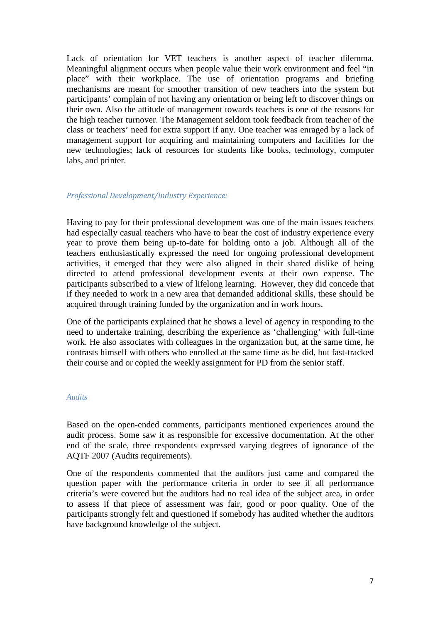Lack of orientation for VET teachers is another aspect of teacher dilemma. Meaningful alignment occurs when people value their work environment and feel "in place" with their workplace. The use of orientation programs and briefing mechanisms are meant for smoother transition of new teachers into the system but participants' complain of not having any orientation or being left to discover things on their own. Also the attitude of management towards teachers is one of the reasons for the high teacher turnover. The Management seldom took feedback from teacher of the class or teachers' need for extra support if any. One teacher was enraged by a lack of management support for acquiring and maintaining computers and facilities for the new technologies; lack of resources for students like books, technology, computer labs, and printer.

# Professional Development/Industry Experience:

Having to pay for their professional development was one of the main issues teachers had especially casual teachers who have to bear the cost of industry experience every year to prove them being up-to-date for holding onto a job. Although all of the teachers enthusiastically expressed the need for ongoing professional development activities, it emerged that they were also aligned in their shared dislike of being directed to attend professional development events at their own expense. The participants subscribed to a view of lifelong learning. However, they did concede that if they needed to work in a new area that demanded additional skills, these should be acquired through training funded by the organization and in work hours.

One of the participants explained that he shows a level of agency in responding to the need to undertake training, describing the experience as 'challenging' with full-time work. He also associates with colleagues in the organization but, at the same time, he contrasts himself with others who enrolled at the same time as he did, but fast-tracked their course and or copied the weekly assignment for PD from the senior staff.

### *Audits*

Based on the open-ended comments, participants mentioned experiences around the audit process. Some saw it as responsible for excessive documentation. At the other end of the scale, three respondents expressed varying degrees of ignorance of the AQTF 2007 (Audits requirements).

One of the respondents commented that the auditors just came and compared the question paper with the performance criteria in order to see if all performance criteria's were covered but the auditors had no real idea of the subject area, in order to assess if that piece of assessment was fair, good or poor quality. One of the participants strongly felt and questioned if somebody has audited whether the auditors have background knowledge of the subject.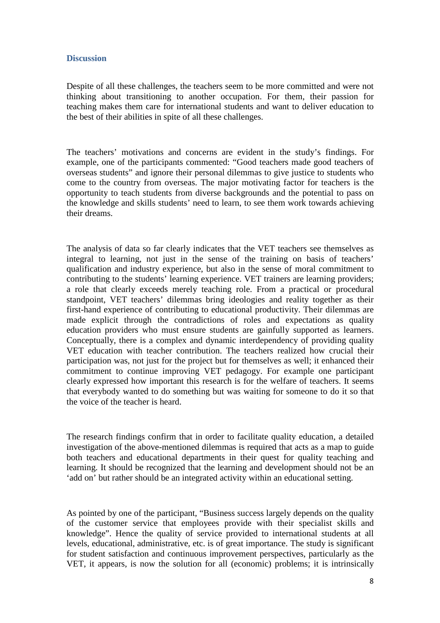# **Discussion**

Despite of all these challenges, the teachers seem to be more committed and were not thinking about transitioning to another occupation. For them, their passion for teaching makes them care for international students and want to deliver education to the best of their abilities in spite of all these challenges.

The teachers' motivations and concerns are evident in the study's findings. For example, one of the participants commented: "Good teachers made good teachers of overseas students" and ignore their personal dilemmas to give justice to students who come to the country from overseas. The major motivating factor for teachers is the opportunity to teach students from diverse backgrounds and the potential to pass on the knowledge and skills students' need to learn, to see them work towards achieving their dreams.

The analysis of data so far clearly indicates that the VET teachers see themselves as integral to learning, not just in the sense of the training on basis of teachers' qualification and industry experience, but also in the sense of moral commitment to contributing to the students' learning experience. VET trainers are learning providers; a role that clearly exceeds merely teaching role. From a practical or procedural standpoint, VET teachers' dilemmas bring ideologies and reality together as their first-hand experience of contributing to educational productivity. Their dilemmas are made explicit through the contradictions of roles and expectations as quality education providers who must ensure students are gainfully supported as learners. Conceptually, there is a complex and dynamic interdependency of providing quality VET education with teacher contribution. The teachers realized how crucial their participation was, not just for the project but for themselves as well; it enhanced their commitment to continue improving VET pedagogy. For example one participant clearly expressed how important this research is for the welfare of teachers. It seems that everybody wanted to do something but was waiting for someone to do it so that the voice of the teacher is heard.

The research findings confirm that in order to facilitate quality education, a detailed investigation of the above-mentioned dilemmas is required that acts as a map to guide both teachers and educational departments in their quest for quality teaching and learning. It should be recognized that the learning and development should not be an 'add on' but rather should be an integrated activity within an educational setting.

As pointed by one of the participant, "Business success largely depends on the quality of the customer service that employees provide with their specialist skills and knowledge". Hence the quality of service provided to international students at all levels, educational, administrative, etc. is of great importance. The study is significant for student satisfaction and continuous improvement perspectives, particularly as the VET, it appears, is now the solution for all (economic) problems; it is intrinsically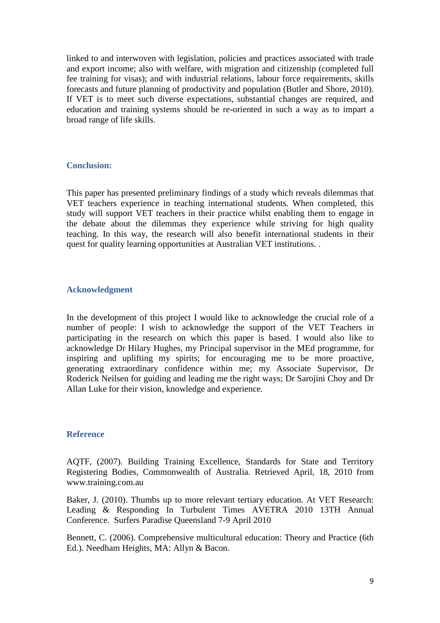linked to and interwoven with legislation, policies and practices associated with trade and export income; also with welfare, with migration and citizenship (completed full fee training for visas); and with industrial relations, labour force requirements, skills forecasts and future planning of productivity and population (Butler and Shore, 2010). If VET is to meet such diverse expectations, substantial changes are required, and education and training systems should be re-oriented in such a way as to impart a broad range of life skills.

# **Conclusion:**

This paper has presented preliminary findings of a study which reveals dilemmas that VET teachers experience in teaching international students. When completed, this study will support VET teachers in their practice whilst enabling them to engage in the debate about the dilemmas they experience while striving for high quality teaching. In this way, the research will also benefit international students in their quest for quality learning opportunities at Australian VET institutions. .

# **Acknowledgment**

In the development of this project I would like to acknowledge the crucial role of a number of people: I wish to acknowledge the support of the VET Teachers in participating in the research on which this paper is based. I would also like to acknowledge Dr Hilary Hughes, my Principal supervisor in the MEd programme, for inspiring and uplifting my spirits; for encouraging me to be more proactive, generating extraordinary confidence within me; my Associate Supervisor, Dr Roderick Neilsen for guiding and leading me the right ways; Dr Sarojini Choy and Dr Allan Luke for their vision, knowledge and experience.

### **Reference**

AQTF, (2007). Building Training Excellence, Standards for State and Territory Registering Bodies, Commonwealth of Australia. Retrieved April, 18, 2010 from www.training.com.au

Baker, J. (2010). Thumbs up to more relevant tertiary education. At VET Research: Leading & Responding In Turbulent Times AVETRA 2010 13TH Annual Conference. Surfers Paradise Queensland 7-9 April 2010

Bennett, C. (2006). Comprehensive multicultural education: Theory and Practice (6th Ed.). Needham Heights, MA: Allyn & Bacon.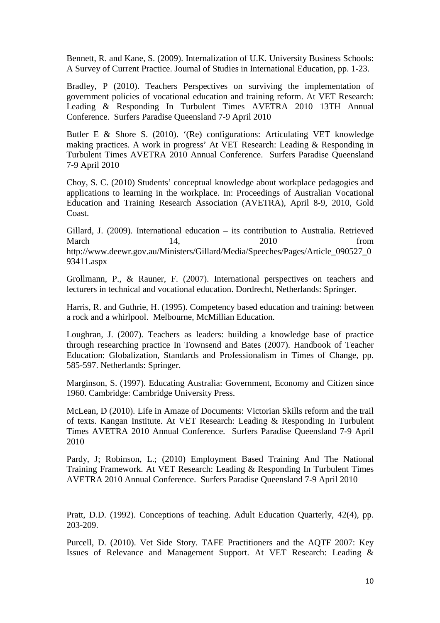Bennett, R. and Kane, S. (2009). Internalization of U.K. University Business Schools: A Survey of Current Practice. Journal of Studies in International Education, pp. 1-23.

Bradley, P (2010). Teachers Perspectives on surviving the implementation of government policies of vocational education and training reform. At VET Research: Leading & Responding In Turbulent Times AVETRA 2010 13TH Annual Conference. Surfers Paradise Queensland 7-9 April 2010

Butler E & Shore S. (2010). '(Re) configurations: Articulating VET knowledge making practices. A work in progress' At VET Research: Leading & Responding in Turbulent Times AVETRA 2010 Annual Conference. Surfers Paradise Queensland 7-9 April 2010

Choy, S. C. (2010) Students' conceptual knowledge about workplace pedagogies and applications to learning in the workplace. In: Proceedings of Australian Vocational Education and Training Research Association (AVETRA), April 8-9, 2010, Gold Coast.

Gillard, J. (2009). International education – its contribution to Australia. Retrieved March 14, 2010 from http://www.deewr.gov.au/Ministers/Gillard/Media/Speeches/Pages/Article\_090527\_0 93411.aspx

Grollmann, P., & Rauner, F. (2007). International perspectives on teachers and lecturers in technical and vocational education. Dordrecht, Netherlands: Springer.

Harris, R. and Guthrie, H. (1995). Competency based education and training: between a rock and a whirlpool. Melbourne, McMillian Education.

Loughran, J. (2007). Teachers as leaders: building a knowledge base of practice through researching practice In Townsend and Bates (2007). Handbook of Teacher Education: Globalization, Standards and Professionalism in Times of Change, pp. 585-597. Netherlands: Springer.

Marginson, S. (1997). Educating Australia: Government, Economy and Citizen since 1960. Cambridge: Cambridge University Press.

McLean, D (2010). Life in Amaze of Documents: Victorian Skills reform and the trail of texts. Kangan Institute. At VET Research: Leading & Responding In Turbulent Times AVETRA 2010 Annual Conference. Surfers Paradise Queensland 7-9 April 2010

Pardy, J; Robinson, L.; (2010) Employment Based Training And The National Training Framework. At VET Research: Leading & Responding In Turbulent Times AVETRA 2010 Annual Conference. Surfers Paradise Queensland 7-9 April 2010

Pratt, D.D. (1992). Conceptions of teaching. Adult Education Quarterly, 42(4), pp. 203-209.

Purcell, D. (2010). Vet Side Story. TAFE Practitioners and the AQTF 2007: Key Issues of Relevance and Management Support. At VET Research: Leading &